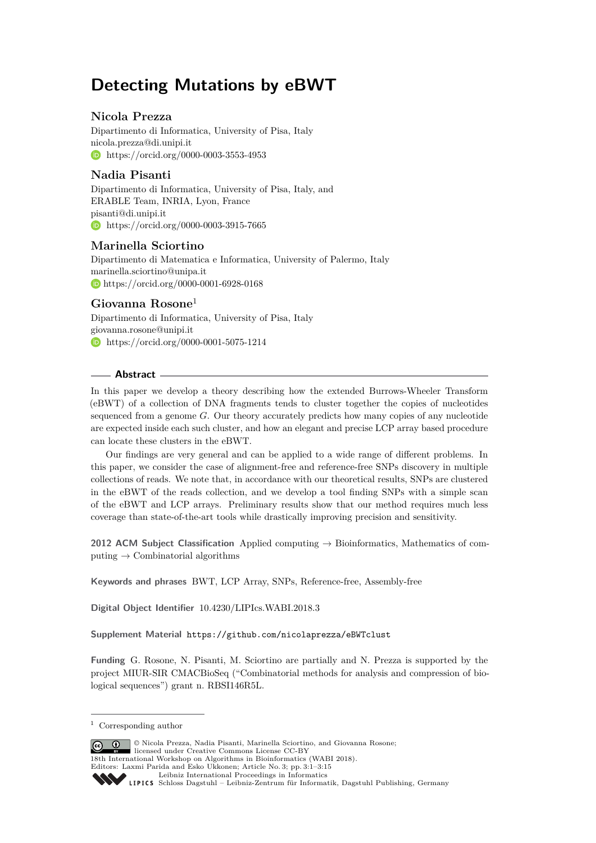# **Detecting Mutations by eBWT**

# **Nicola Prezza**

Dipartimento di Informatica, University of Pisa, Italy [nicola.prezza@di.unipi.it](mailto:nicola.prezza@di.unipi.it) **[https://orcid.org/0000-0003-3553-4953]( https://orcid.org/0000-0003-3553-4953)** 

# **Nadia Pisanti**

Dipartimento di Informatica, University of Pisa, Italy, and ERABLE Team, INRIA, Lyon, France [pisanti@di.unipi.it](mailto:pisanti@di.unipi.it) **[https://orcid.org/0000-0003-3915-7665]( https://orcid.org/0000-0003-3915-7665)** 

# **Marinella Sciortino**

Dipartimento di Matematica e Informatica, University of Palermo, Italy [marinella.sciortino@unipa.it](mailto:marinella.sciortino@unipa.it) <https://orcid.org/0000-0001-6928-0168>

# **Giovanna Rosone**<sup>1</sup>

Dipartimento di Informatica, University of Pisa, Italy [giovanna.rosone@unipi.it](mailto:giovanna.rosone@unipi.it) **b** [https://orcid.org/0000-0001-5075-1214]( https://orcid.org/0000-0001-5075-1214)

# **Abstract**

In this paper we develop a theory describing how the extended Burrows-Wheeler Transform (eBWT) of a collection of DNA fragments tends to cluster together the copies of nucleotides sequenced from a genome *G*. Our theory accurately predicts how many copies of any nucleotide are expected inside each such cluster, and how an elegant and precise LCP array based procedure can locate these clusters in the eBWT.

Our findings are very general and can be applied to a wide range of different problems. In this paper, we consider the case of alignment-free and reference-free SNPs discovery in multiple collections of reads. We note that, in accordance with our theoretical results, SNPs are clustered in the eBWT of the reads collection, and we develop a tool finding SNPs with a simple scan of the eBWT and LCP arrays. Preliminary results show that our method requires much less coverage than state-of-the-art tools while drastically improving precision and sensitivity.

**2012 ACM Subject Classification** Applied computing → Bioinformatics, Mathematics of computing  $\rightarrow$  Combinatorial algorithms

**Keywords and phrases** BWT, LCP Array, SNPs, Reference-free, Assembly-free

**Digital Object Identifier** [10.4230/LIPIcs.WABI.2018.3](http://dx.doi.org/10.4230/LIPIcs.WABI.2018.3)

**Supplement Material** <https://github.com/nicolaprezza/eBWTclust>

**Funding** G. Rosone, N. Pisanti, M. Sciortino are partially and N. Prezza is supported by the project MIUR-SIR CMACBioSeq ("Combinatorial methods for analysis and compression of biological sequences") grant n. RBSI146R5L.

© Nicola Prezza, Nadia Pisanti, Marinella Sciortino, and Giovanna Rosone;  $\boxed{6}$   $\boxed{0}$ licensed under Creative Commons License CC-BY 18th International Workshop on Algorithms in Bioinformatics (WABI 2018). Editors: Laxmi Parida and Esko Ukkonen; Article No. 3; pp. 3:1–3[:15](#page-14-0) [Leibniz International Proceedings in Informatics](http://www.dagstuhl.de/lipics/) [Schloss Dagstuhl – Leibniz-Zentrum für Informatik, Dagstuhl Publishing, Germany](http://www.dagstuhl.de)

<sup>1</sup> Corresponding author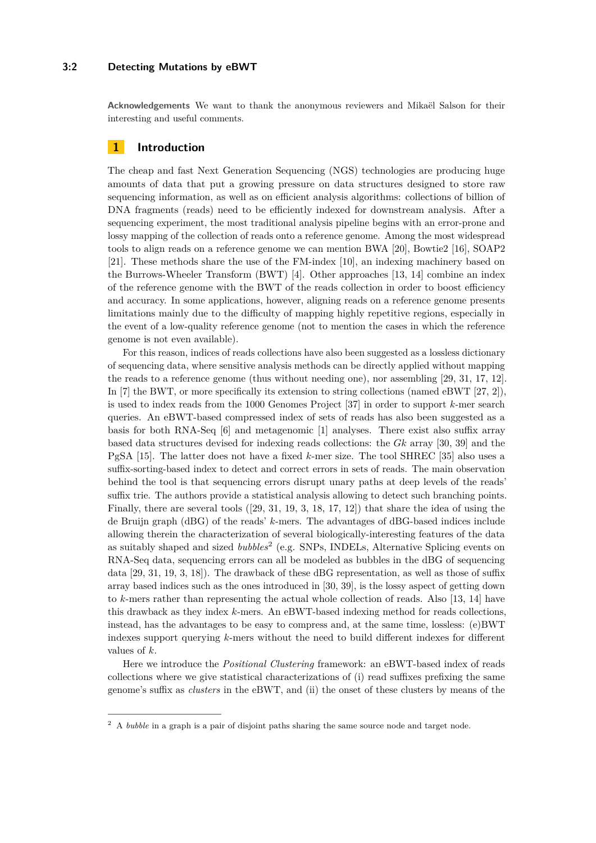## **3:2 Detecting Mutations by eBWT**

**Acknowledgements** We want to thank the anonymous reviewers and Mikaël Salson for their interesting and useful comments.

# **1 Introduction**

The cheap and fast Next Generation Sequencing (NGS) technologies are producing huge amounts of data that put a growing pressure on data structures designed to store raw sequencing information, as well as on efficient analysis algorithms: collections of billion of DNA fragments (reads) need to be efficiently indexed for downstream analysis. After a sequencing experiment, the most traditional analysis pipeline begins with an error-prone and lossy mapping of the collection of reads onto a reference genome. Among the most widespread tools to align reads on a reference genome we can mention BWA [\[20\]](#page-13-0), Bowtie2 [\[16\]](#page-13-1), SOAP2 [\[21\]](#page-13-2). These methods share the use of the FM-index [\[10\]](#page-12-0), an indexing machinery based on the Burrows-Wheeler Transform (BWT) [\[4\]](#page-12-1). Other approaches [\[13,](#page-13-3) [14\]](#page-13-4) combine an index of the reference genome with the BWT of the reads collection in order to boost efficiency and accuracy. In some applications, however, aligning reads on a reference genome presents limitations mainly due to the difficulty of mapping highly repetitive regions, especially in the event of a low-quality reference genome (not to mention the cases in which the reference genome is not even available).

For this reason, indices of reads collections have also been suggested as a lossless dictionary of sequencing data, where sensitive analysis methods can be directly applied without mapping the reads to a reference genome (thus without needing one), nor assembling [\[29,](#page-13-5) [31,](#page-13-6) [17,](#page-13-7) [12\]](#page-13-8). In [\[7\]](#page-12-2) the BWT, or more specifically its extension to string collections (named eBWT [\[27,](#page-13-9) [2\]](#page-12-3)), is used to index reads from the 1000 Genomes Project [\[37\]](#page-14-1) in order to support *k*-mer search queries. An eBWT-based compressed index of sets of reads has also been suggested as a basis for both RNA-Seq [\[6\]](#page-12-4) and metagenomic [\[1\]](#page-12-5) analyses. There exist also suffix array based data structures devised for indexing reads collections: the *Gk* array [\[30,](#page-13-10) [39\]](#page-14-2) and the PgSA [\[15\]](#page-13-11). The latter does not have a fixed *k*-mer size. The tool SHREC [\[35\]](#page-14-3) also uses a suffix-sorting-based index to detect and correct errors in sets of reads. The main observation behind the tool is that sequencing errors disrupt unary paths at deep levels of the reads' suffix trie. The authors provide a statistical analysis allowing to detect such branching points. Finally, there are several tools ([\[29,](#page-13-5) [31,](#page-13-6) [19,](#page-13-12) [3,](#page-12-6) [18,](#page-13-13) [17,](#page-13-7) [12\]](#page-13-8)) that share the idea of using the de Bruijn graph (dBG) of the reads' *k*-mers. The advantages of dBG-based indices include allowing therein the characterization of several biologically-interesting features of the data as suitably shaped and sized *bubbles*[2](#page-1-0) (e.g. SNPs, INDELs, Alternative Splicing events on RNA-Seq data, sequencing errors can all be modeled as bubbles in the dBG of sequencing data [\[29,](#page-13-5) [31,](#page-13-6) [19,](#page-13-12) [3,](#page-12-6) [18\]](#page-13-13)). The drawback of these dBG representation, as well as those of suffix array based indices such as the ones introduced in [\[30,](#page-13-10) [39\]](#page-14-2), is the lossy aspect of getting down to *k*-mers rather than representing the actual whole collection of reads. Also [\[13,](#page-13-3) [14\]](#page-13-4) have this drawback as they index *k*-mers. An eBWT-based indexing method for reads collections, instead, has the advantages to be easy to compress and, at the same time, lossless: (e)BWT indexes support querying *k*-mers without the need to build different indexes for different values of *k*.

Here we introduce the *Positional Clustering* framework: an eBWT-based index of reads collections where we give statistical characterizations of (i) read suffixes prefixing the same genome's suffix as *clusters* in the eBWT, and (ii) the onset of these clusters by means of the

<span id="page-1-0"></span><sup>2</sup> A *bubble* in a graph is a pair of disjoint paths sharing the same source node and target node.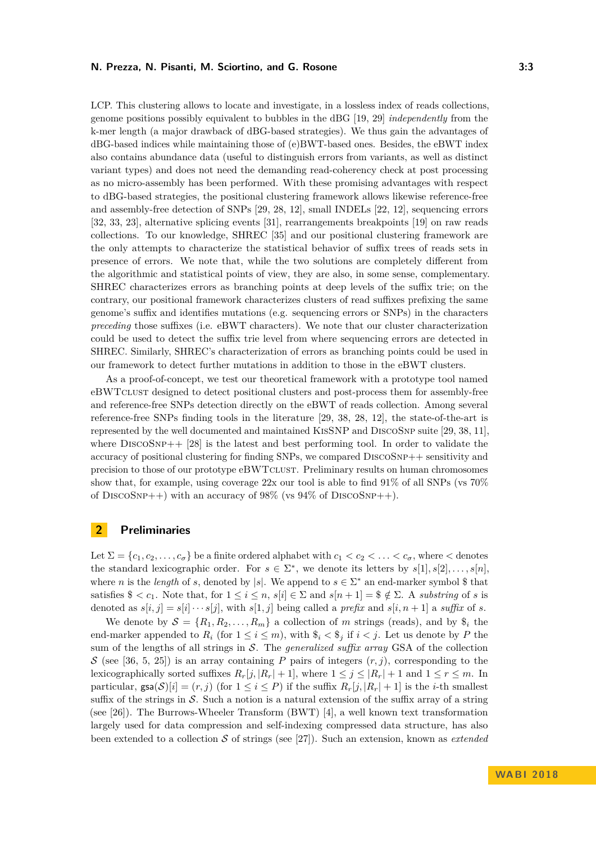LCP. This clustering allows to locate and investigate, in a lossless index of reads collections, genome positions possibly equivalent to bubbles in the dBG [\[19,](#page-13-12) [29\]](#page-13-5) *independently* from the k-mer length (a major drawback of dBG-based strategies). We thus gain the advantages of dBG-based indices while maintaining those of (e)BWT-based ones. Besides, the eBWT index also contains abundance data (useful to distinguish errors from variants, as well as distinct variant types) and does not need the demanding read-coherency check at post processing as no micro-assembly has been performed. With these promising advantages with respect to dBG-based strategies, the positional clustering framework allows likewise reference-free and assembly-free detection of SNPs [\[29,](#page-13-5) [28,](#page-13-14) [12\]](#page-13-8), small INDELs [\[22,](#page-13-15) [12\]](#page-13-8), sequencing errors [\[32,](#page-13-16) [33,](#page-13-17) [23\]](#page-13-18), alternative splicing events [\[31\]](#page-13-6), rearrangements breakpoints [\[19\]](#page-13-12) on raw reads collections. To our knowledge, SHREC [\[35\]](#page-14-3) and our positional clustering framework are the only attempts to characterize the statistical behavior of suffix trees of reads sets in presence of errors. We note that, while the two solutions are completely different from the algorithmic and statistical points of view, they are also, in some sense, complementary. SHREC characterizes errors as branching points at deep levels of the suffix trie; on the contrary, our positional framework characterizes clusters of read suffixes prefixing the same genome's suffix and identifies mutations (e.g. sequencing errors or SNPs) in the characters *preceding* those suffixes (i.e. eBWT characters). We note that our cluster characterization could be used to detect the suffix trie level from where sequencing errors are detected in SHREC. Similarly, SHREC's characterization of errors as branching points could be used in our framework to detect further mutations in addition to those in the eBWT clusters.

As a proof-of-concept, we test our theoretical framework with a prototype tool named eBWTclust designed to detect positional clusters and post-process them for assembly-free and reference-free SNPs detection directly on the eBWT of reads collection. Among several reference-free SNPs finding tools in the literature [\[29,](#page-13-5) [38,](#page-14-4) [28,](#page-13-14) [12\]](#page-13-8), the state-of-the-art is represented by the well documented and maintained KisSNP and DiscoSnp suite [\[29,](#page-13-5) [38,](#page-14-4) [11\]](#page-12-7), where  $DISCOSNP++ [28]$  $DISCOSNP++ [28]$  is the latest and best performing tool. In order to validate the accuracy of positional clustering for finding SNPs, we compared DiscoSnp++ sensitivity and precision to those of our prototype eBWTclust. Preliminary results on human chromosomes show that, for example, using coverage 22x our tool is able to find 91% of all SNPs (vs 70% of DISCOSNP++) with an accuracy of  $98\%$  (vs  $94\%$  of DISCOSNP++).

# **2 Preliminaries**

Let  $\Sigma = \{c_1, c_2, \ldots, c_\sigma\}$  be a finite ordered alphabet with  $c_1 < c_2 < \ldots < c_\sigma$ , where  $\lt$  denotes the standard lexicographic order. For  $s \in \Sigma^*$ , we denote its letters by  $s[1], s[2], \ldots, s[n]$ , where *n* is the *length* of *s*, denoted by |*s*|. We append to  $s \in \Sigma^*$  an end-marker symbol \$ that satisfies  $\$(c_1]$ . Note that, for  $1 \leq i \leq n$ ,  $s[i] \in \Sigma$  and  $s[n+1] = \$(\notin \Sigma]$ . A *substring* of *s* is denoted as  $s[i, j] = s[i] \cdots s[j]$ , with  $s[1, j]$  being called a *prefix* and  $s[i, n + 1]$  a *suffix* of *s*.

We denote by  $S = \{R_1, R_2, \ldots, R_m\}$  a collection of *m* strings (reads), and by  $\hat{\mathbf{s}}_i$  the end-marker appended to  $R_i$  (for  $1 \leq i \leq m$ ), with  $\$_i \lt \$_j$  if  $i \lt j$ . Let us denote by P the sum of the lengths of all strings in S. The *generalized suffix array* GSA of the collection S (see [\[36,](#page-14-5) [5,](#page-12-8) [25\]](#page-13-19)) is an array containing P pairs of integers  $(r, j)$ , corresponding to the lexicographically sorted suffixes  $R_r[j, |R_r| + 1]$ , where  $1 \leq j \leq |R_r| + 1$  and  $1 \leq r \leq m$ . In particular,  $\text{gsa}(S)[i] = (r, j)$  (for  $1 \le i \le P$ ) if the suffix  $R_r[i, |R_r| + 1]$  is the *i*-th smallest suffix of the strings in  $\mathcal S$ . Such a notion is a natural extension of the suffix array of a string (see [\[26\]](#page-13-20)). The Burrows-Wheeler Transform (BWT) [\[4\]](#page-12-1), a well known text transformation largely used for data compression and self-indexing compressed data structure, has also been extended to a collection S of strings (see [\[27\]](#page-13-9)). Such an extension, known as *extended*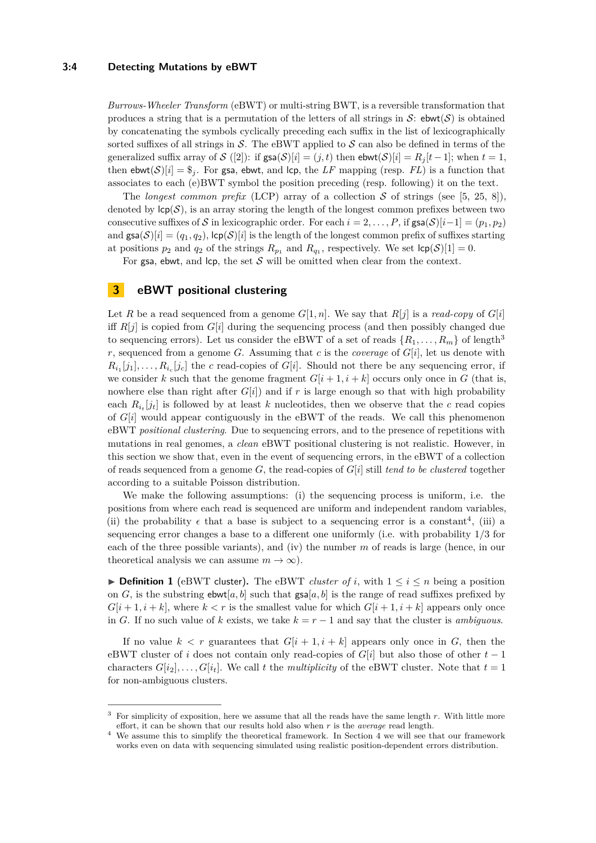## **3:4 Detecting Mutations by eBWT**

*Burrows-Wheeler Transform* (eBWT) or multi-string BWT, is a reversible transformation that produces a string that is a permutation of the letters of all strings in  $S:$  ebwt $(S)$  is obtained by concatenating the symbols cyclically preceding each suffix in the list of lexicographically sorted suffixes of all strings in  $S$ . The eBWT applied to  $S$  can also be defined in terms of the generalized suffix array of  $S([2])$  $S([2])$  $S([2])$ : if  $\text{gsa}(S)[i] = (j, t)$  then  $\text{ebwt}(S)[i] = R_i[t-1]$ ; when  $t = 1$ , then  $ebwt(S)[i] = \frac{6}{3}$ . For gsa, ebwt, and lcp, the LF mapping (resp. FL) is a function that associates to each (e)BWT symbol the position preceding (resp. following) it on the text.

The *longest common prefix* (LCP) array of a collection S of strings (see [\[5,](#page-12-8) [25,](#page-13-19) [8\]](#page-12-9)), denoted by  $\text{lcp}(\mathcal{S})$ , is an array storing the length of the longest common prefixes between two consecutive suffixes of S in lexicographic order. For each  $i = 2, \ldots, P$ , if  $\textsf{gsa}(S)[i-1] = (p_1, p_2)$ and  $\text{gsa}(S)[i] = (q_1, q_2)$ ,  $\text{lcp}(S)[i]$  is the length of the longest common prefix of suffixes starting at positions  $p_2$  and  $q_2$  of the strings  $R_{p_1}$  and  $R_{q_1}$ , respectively. We set  $\mathsf{lcp}(\mathcal{S})[1] = 0$ .

For gsa, ebwt, and  $\mathsf{lcp}$ , the set S will be omitted when clear from the context.

# <span id="page-3-3"></span>**3 eBWT positional clustering**

Let *R* be a read sequenced from a genome  $G[1, n]$ . We say that  $R[j]$  is a *read-copy* of  $G[i]$ iff  $R[j]$  is copied from  $G[i]$  during the sequencing process (and then possibly changed due to sequencing errors). Let us consider the eBWT of a set of reads  $\{R_1, \ldots, R_m\}$  of length<sup>[3](#page-3-0)</sup> *r*, sequenced from a genome *G*. Assuming that *c* is the *coverage* of *G*[*i*], let us denote with  $R_{i_1}[j_1], \ldots, R_{i_c}[j_c]$  the *c* read-copies of *G*[*i*]. Should not there be any sequencing error, if we consider k such that the genome fragment  $G[i+1, i+k]$  occurs only once in G (that is, nowhere else than right after  $G[i]$  and if r is large enough so that with high probability each  $R_{i_t}[j_t]$  is followed by at least *k* nucleotides, then we observe that the *c* read copies of  $G[i]$  would appear contiguously in the eBWT of the reads. We call this phenomenon eBWT *positional clustering*. Due to sequencing errors, and to the presence of repetitions with mutations in real genomes, a *clean* eBWT positional clustering is not realistic. However, in this section we show that, even in the event of sequencing errors, in the eBWT of a collection of reads sequenced from a genome  $G$ , the read-copies of  $G[i]$  still *tend to be clustered* together according to a suitable Poisson distribution.

We make the following assumptions: (i) the sequencing process is uniform, i.e. the positions from where each read is sequenced are uniform and independent random variables, (ii) the probability  $\epsilon$  that a base is subject to a sequencing error is a constant<sup>[4](#page-3-1)</sup>, (iii) a sequencing error changes a base to a different one uniformly (i.e. with probability 1*/*3 for each of the three possible variants), and (iv) the number *m* of reads is large (hence, in our theoretical analysis we can assume  $m \to \infty$ ).

<span id="page-3-2"></span>▶ **Definition 1** (eBWT cluster). The eBWT *cluster of i*, with  $1 \leq i \leq n$  being a position on *G*, is the substring  $\mathsf{ebwt}[a, b]$  such that  $\mathsf{gsa}[a, b]$  is the range of read suffixes prefixed by  $G[i+1, i+k]$ , where  $k < r$  is the smallest value for which  $G[i+1, i+k]$  appears only once in *G*. If no such value of *k* exists, we take  $k = r - 1$  and say that the cluster is *ambiguous*.

If no value  $k < r$  guarantees that  $G[i + 1, i + k]$  appears only once in G, then the eBWT cluster of *i* does not contain only read-copies of *G*[*i*] but also those of other *t* − 1 characters  $G[i_2], \ldots, G[i_t]$ . We call t the *multiplicity* of the eBWT cluster. Note that  $t = 1$ for non-ambiguous clusters.

<span id="page-3-0"></span><sup>3</sup> For simplicity of exposition, here we assume that all the reads have the same length *r*. With little more effort, it can be shown that our results hold also when *r* is the *average* read length.

<span id="page-3-1"></span>We assume this to simplify the theoretical framework. In Section [4](#page-6-0) we will see that our framework works even on data with sequencing simulated using realistic position-dependent errors distribution.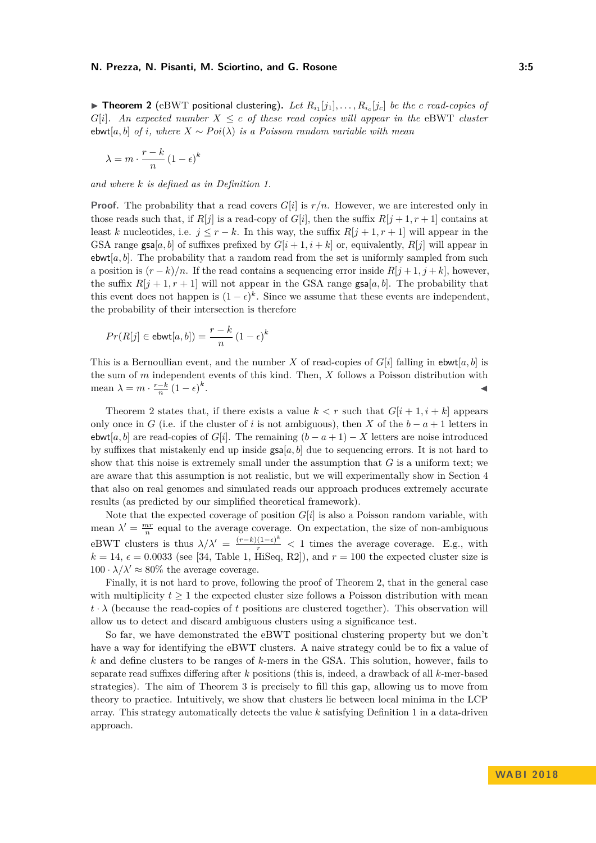<span id="page-4-0"></span> $\triangleright$  **Theorem 2** (eBWT positional clustering). Let  $R_{i_1}[j_1], \ldots, R_{i_c}[j_c]$  be the *c* read-copies of

*G*[ $i$ ]*.* An expected number  $X \leq c$  *of these read copies will appear in the eBWT cluster* ebwt[a, b] *of i*, where  $X \sim Poi(\lambda)$  *is a Poisson random variable with mean* 

$$
\lambda = m \cdot \frac{r - k}{n} \left( 1 - \epsilon \right)^k
$$

*and where k is defined as in Definition [1.](#page-3-2)*

**Proof.** The probability that a read covers  $G[i]$  is  $r/n$ . However, we are interested only in those reads such that, if  $R[j]$  is a read-copy of  $G[i]$ , then the suffix  $R[j+1, r+1]$  contains at least *k* nucleotides, i.e.  $j \leq r - k$ . In this way, the suffix  $R[j + 1, r + 1]$  will appear in the GSA range  $\text{gsa}[a, b]$  of suffixes prefixed by  $G[i + 1, i + k]$  or, equivalently,  $R[j]$  will appear in ebwt[ $a, b$ ]. The probability that a random read from the set is uniformly sampled from such a position is  $(r - k)/n$ . If the read contains a sequencing error inside  $R[j + 1, j + k]$ , however, the suffix  $R[j+1, r+1]$  will not appear in the GSA range gsa[a, b]. The probability that this event does not happen is  $(1 - \epsilon)^k$ . Since we assume that these events are independent, the probability of their intersection is therefore

$$
Pr(R[j] \in \text{ebwt}[a, b]) = \frac{r - k}{n} (1 - \epsilon)^k
$$

This is a Bernoullian event, and the number *X* of read-copies of  $G[i]$  falling in ebwt[a, b] is the sum of *m* independent events of this kind. Then, *X* follows a Poisson distribution with mean  $\lambda = m \cdot \frac{r-k}{n} (1 - \epsilon)^k$ . John Stein Stein Stein Stein Stein Stein Stein Stein Stein Stein Stein Stein Stein Stein Stein Stein Stein S<br>John Stein Stein Stein Stein Stein Stein Stein Stein Stein Stein Stein Stein Stein Stein Stein Stein Stein Ste

Theorem [2](#page-4-0) states that, if there exists a value  $k < r$  such that  $G[i+1, i+k]$  appears only once in *G* (i.e. if the cluster of *i* is not ambiguous), then *X* of the  $b - a + 1$  letters in ebwt[a, b] are read-copies of  $G[i]$ . The remaining  $(b - a + 1) - X$  letters are noise introduced by suffixes that mistakenly end up inside  $\text{gsa}[a, b]$  due to sequencing errors. It is not hard to show that this noise is extremely small under the assumption that *G* is a uniform text; we are aware that this assumption is not realistic, but we will experimentally show in Section [4](#page-6-0) that also on real genomes and simulated reads our approach produces extremely accurate results (as predicted by our simplified theoretical framework).

Note that the expected coverage of position  $G[i]$  is also a Poisson random variable, with mean  $\lambda' = \frac{mr}{n}$  equal to the average coverage. On expectation, the size of non-ambiguous eBWT clusters is thus  $\lambda/\lambda' = \frac{(r-k)(1-\epsilon)^k}{r} < 1$  times the average coverage. E.g., with  $k = 14$ ,  $\epsilon = 0.0033$  (see [\[34,](#page-13-21) Table 1, HiSeq, R2]), and  $r = 100$  the expected cluster size is  $100 \cdot \lambda/\lambda' \approx 80\%$  the average coverage.

Finally, it is not hard to prove, following the proof of Theorem [2,](#page-4-0) that in the general case with multiplicity  $t \geq 1$  the expected cluster size follows a Poisson distribution with mean  $t \cdot \lambda$  (because the read-copies of *t* positions are clustered together). This observation will allow us to detect and discard ambiguous clusters using a significance test.

So far, we have demonstrated the eBWT positional clustering property but we don't have a way for identifying the eBWT clusters. A naive strategy could be to fix a value of *k* and define clusters to be ranges of *k*-mers in the GSA. This solution, however, fails to separate read suffixes differing after *k* positions (this is, indeed, a drawback of all *k*-mer-based strategies). The aim of Theorem [3](#page-5-0) is precisely to fill this gap, allowing us to move from theory to practice. Intuitively, we show that clusters lie between local minima in the LCP array. This strategy automatically detects the value *k* satisfying Definition [1](#page-3-2) in a data-driven approach.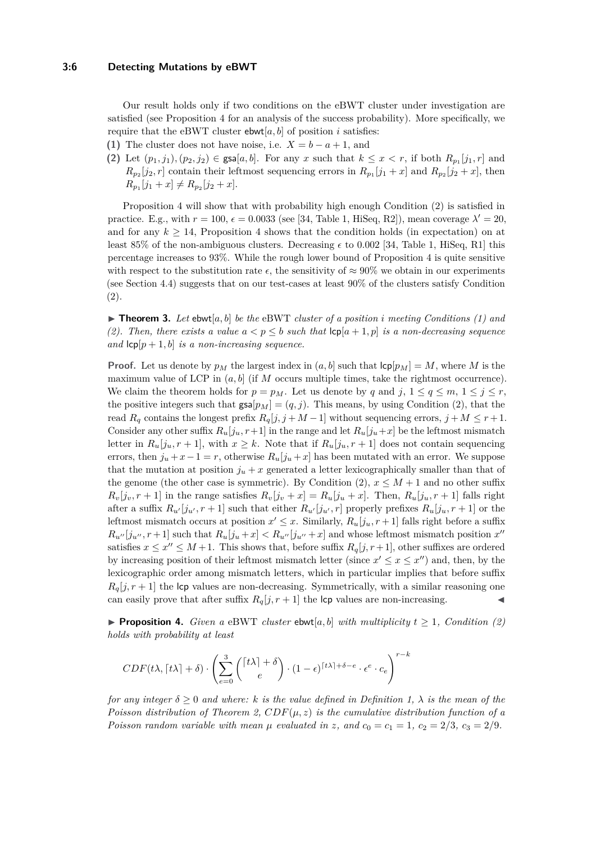#### **3:6 Detecting Mutations by eBWT**

Our result holds only if two conditions on the eBWT cluster under investigation are satisfied (see Proposition [4](#page-5-1) for an analysis of the success probability). More specifically, we require that the eBWT cluster  $ebwt[a, b]$  of position *i* satisfies:

- **(1)** The cluster does not have noise, i.e.  $X = b a + 1$ , and
- **(2)** Let  $(p_1, j_1), (p_2, j_2)$  ∈ gsa[ $a, b$ ]. For any *x* such that  $k ≤ x < r$ , if both  $R_{p_1}[j_1, r]$  and  $R_{p_2}[j_2, r]$  contain their leftmost sequencing errors in  $R_{p_1}[j_1 + x]$  and  $R_{p_2}[j_2 + x]$ , then  $R_{p_1}[j_1 + x] \neq R_{p_2}[j_2 + x].$

Proposition [4](#page-5-1) will show that with probability high enough Condition (2) is satisfied in practice. E.g., with  $r = 100$ ,  $\epsilon = 0.0033$  (see [\[34,](#page-13-21) Table 1, HiSeq, R2]), mean coverage  $\lambda' = 20$ , and for any  $k \geq 14$ , Proposition [4](#page-5-1) shows that the condition holds (in expectation) on at least 85% of the non-ambiguous clusters. Decreasing  $\epsilon$  to 0.002 [\[34,](#page-13-21) Table 1, HiSeq, R1] this percentage increases to 93%. While the rough lower bound of Proposition [4](#page-5-1) is quite sensitive with respect to the substitution rate  $\epsilon$ , the sensitivity of  $\approx 90\%$  we obtain in our experiments (see Section [4.4\)](#page-9-0) suggests that on our test-cases at least 90% of the clusters satisfy Condition (2).

<span id="page-5-0"></span> $\triangleright$  **Theorem 3.** Let ebwt[a, b] be the eBWT cluster of a position *i* meeting Conditions (1) and (2). Then, there exists a value  $a < p \leq b$  such that  $\lvert c \rvert (a+1, p)$  is a non-decreasing sequence *and*  $\text{lcp}[p+1,b]$  *is a non-increasing sequence.* 

**Proof.** Let us denote by  $p_M$  the largest index in  $(a, b]$  such that  $\text{lcp}[p_M] = M$ , where M is the maximum value of LCP in  $(a, b]$  (if M occurs multiple times, take the rightmost occurrence). We claim the theorem holds for  $p = p_M$ . Let us denote by q and j,  $1 \le q \le m$ ,  $1 \le j \le r$ , the positive integers such that  $\text{gsa}[p_M] = (q, j)$ . This means, by using Condition (2), that the read  $R_q$  contains the longest prefix  $R_q[j, j + M - 1]$  without sequencing errors,  $j + M \leq r + 1$ . Consider any other suffix  $R_u[j_u, r+1]$  in the range and let  $R_u[j_u+x]$  be the leftmost mismatch letter in  $R_u[j_u, r+1]$ , with  $x \geq k$ . Note that if  $R_u[j_u, r+1]$  does not contain sequencing errors, then  $j_u + x - 1 = r$ , otherwise  $R_u[j_u + x]$  has been mutated with an error. We suppose that the mutation at position  $j<sub>u</sub> + x$  generated a letter lexicographically smaller than that of the genome (the other case is symmetric). By Condition (2),  $x \leq M+1$  and no other suffix  $R_v[j_v, r+1]$  in the range satisfies  $R_v[j_v + x] = R_u[j_u + x]$ . Then,  $R_u[j_u, r+1]$  falls right after a suffix  $R_{u'}[j_{u'}, r+1]$  such that either  $R_{u'}[j_{u'}, r]$  properly prefixes  $R_u[j_u, r+1]$  or the leftmost mismatch occurs at position  $x' \leq x$ . Similarly,  $R_u[j_u, r+1]$  falls right before a suffix  $R_{u''}[j_{u''}, r+1]$  such that  $R_u[j_u+x] < R_{u''}[j_{u''}+x]$  and whose leftmost mismatch position  $x''$ satisfies  $x \leq x'' \leq M+1$ . This shows that, before suffix  $R_q[j, r+1]$ , other suffixes are ordered by increasing position of their leftmost mismatch letter (since  $x' \leq x \leq x''$ ) and, then, by the lexicographic order among mismatch letters, which in particular implies that before suffix  $R_q[i, r+1]$  the lcp values are non-decreasing. Symmetrically, with a similar reasoning one can easily prove that after suffix  $R_q[j, r+1]$  the lcp values are non-increasing.

<span id="page-5-1"></span>**Proposition 4.** *Given a* eBWT *cluster* ebwt[a, b] *with multiplicity*  $t \geq 1$ *, Condition (2) holds with probability at least*

$$
CDF(t\lambda, \lceil t\lambda \rceil + \delta) \cdot \left(\sum_{e=0}^{3} \binom{\lceil t\lambda \rceil + \delta}{e} \cdot (1-\epsilon)^{\lceil t\lambda \rceil + \delta - e} \cdot \epsilon^{e} \cdot c_{e}\right)^{r-k}
$$

*for any integer*  $\delta > 0$  *and where: k is the value defined in Definition [1,](#page-3-2)*  $\lambda$  *is the mean of the Poisson distribution of Theorem [2,](#page-4-0)*  $CDF(\mu, z)$  *is the cumulative distribution function of a Poisson random variable with mean*  $\mu$  *evaluated in z*, and  $c_0 = c_1 = 1$ ,  $c_2 = 2/3$ ,  $c_3 = 2/9$ .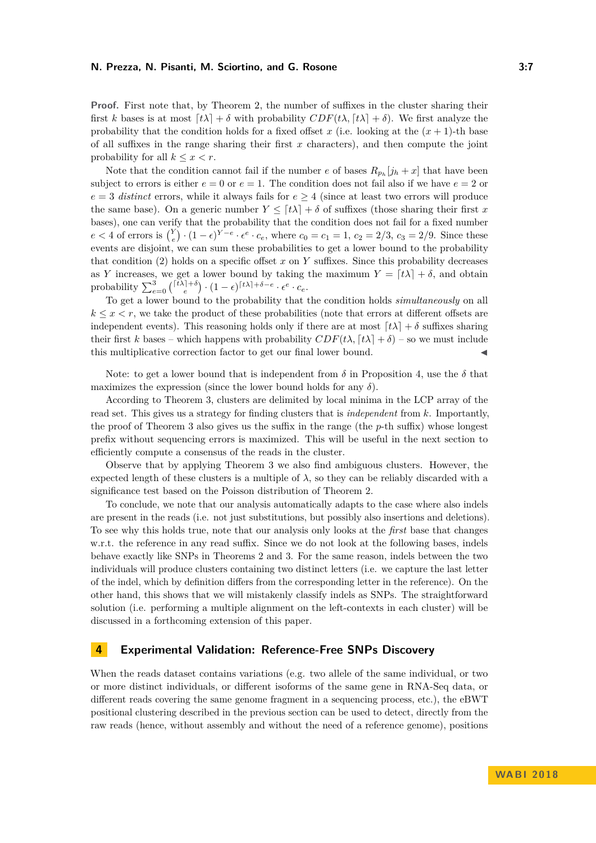**Proof.** First note that, by Theorem [2,](#page-4-0) the number of suffixes in the cluster sharing their first *k* bases is at most  $[t\lambda] + \delta$  with probability  $CDF(t\lambda, [t\lambda] + \delta)$ . We first analyze the probability that the condition holds for a fixed offset *x* (i.e. looking at the  $(x + 1)$ -th base of all suffixes in the range sharing their first *x* characters), and then compute the joint probability for all  $k \leq x < r$ .

Note that the condition cannot fail if the number *e* of bases  $R_{p_h}[j_h + x]$  that have been subject to errors is either  $e = 0$  or  $e = 1$ . The condition does not fail also if we have  $e = 2$  or  $e = 3$  *distinct* errors, while it always fails for  $e \geq 4$  (since at least two errors will produce the same base). On a generic number  $Y \leq [t\lambda] + \delta$  of suffixes (those sharing their first x bases), one can verify that the probability that the condition does not fail for a fixed number  $e < 4$  of errors is  $\binom{Y}{e} \cdot (1 - \epsilon)^{Y - e} \cdot \epsilon^e \cdot c_e$ , where  $c_0 = c_1 = 1$ ,  $c_2 = 2/3$ ,  $c_3 = 2/9$ . Since these events are disjoint, we can sum these probabilities to get a lower bound to the probability that condition (2) holds on a specific offset *x* on *Y* suffixes. Since this probability decreases as *Y* increases, we get a lower bound by taking the maximum  $Y = [t\lambda] + \delta$ , and obtain probability  $\sum_{e=0}^{3} { [t\lambda]+ \delta \choose e} \cdot (1-\epsilon)^{[t\lambda]+ \delta-e} \cdot \epsilon^e \cdot c_e$ .

To get a lower bound to the probability that the condition holds *simultaneously* on all  $k \leq x \leq r$ , we take the product of these probabilities (note that errors at different offsets are independent events). This reasoning holds only if there are at most  $[t\lambda] + \delta$  suffixes sharing their first *k* bases – which happens with probability  $CDF(t\lambda, \lceil t\lambda \rceil + \delta)$  – so we must include this multiplicative correction factor to get our final lower bound.

Note: to get a lower bound that is independent from  $\delta$  in Proposition [4,](#page-5-1) use the  $\delta$  that maximizes the expression (since the lower bound holds for any  $\delta$ ).

According to Theorem [3,](#page-5-0) clusters are delimited by local minima in the LCP array of the read set. This gives us a strategy for finding clusters that is *independent* from *k*. Importantly, the proof of Theorem [3](#page-5-0) also gives us the suffix in the range (the *p*-th suffix) whose longest prefix without sequencing errors is maximized. This will be useful in the next section to efficiently compute a consensus of the reads in the cluster.

Observe that by applying Theorem [3](#page-5-0) we also find ambiguous clusters. However, the expected length of these clusters is a multiple of  $\lambda$ , so they can be reliably discarded with a significance test based on the Poisson distribution of Theorem [2.](#page-4-0)

To conclude, we note that our analysis automatically adapts to the case where also indels are present in the reads (i.e. not just substitutions, but possibly also insertions and deletions). To see why this holds true, note that our analysis only looks at the *first* base that changes w.r.t. the reference in any read suffix. Since we do not look at the following bases, indels behave exactly like SNPs in Theorems [2](#page-4-0) and [3.](#page-5-0) For the same reason, indels between the two individuals will produce clusters containing two distinct letters (i.e. we capture the last letter of the indel, which by definition differs from the corresponding letter in the reference). On the other hand, this shows that we will mistakenly classify indels as SNPs. The straightforward solution (i.e. performing a multiple alignment on the left-contexts in each cluster) will be discussed in a forthcoming extension of this paper.

## <span id="page-6-0"></span>**4 Experimental Validation: Reference-Free SNPs Discovery**

When the reads dataset contains variations (e.g. two allele of the same individual, or two or more distinct individuals, or different isoforms of the same gene in RNA-Seq data, or different reads covering the same genome fragment in a sequencing process, etc.), the eBWT positional clustering described in the previous section can be used to detect, directly from the raw reads (hence, without assembly and without the need of a reference genome), positions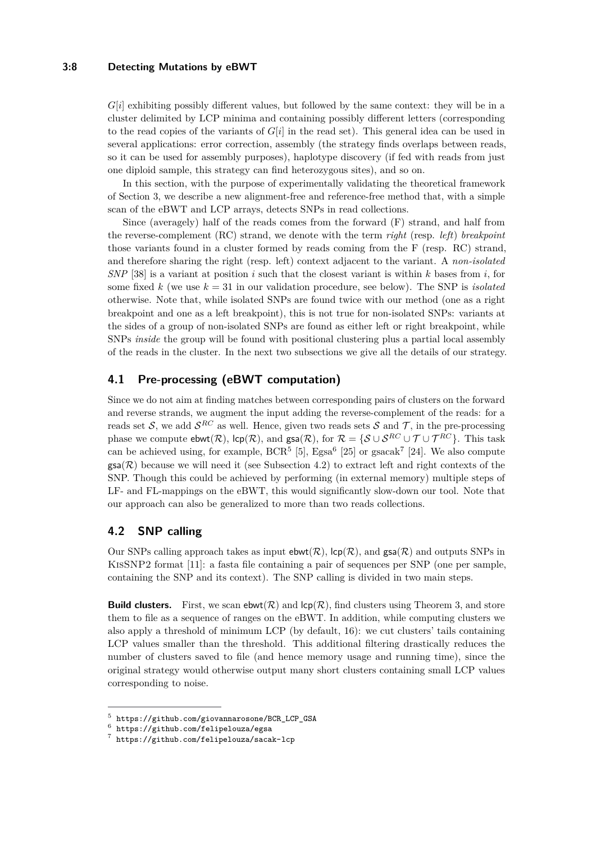## **3:8 Detecting Mutations by eBWT**

*G*[*i*] exhibiting possibly different values, but followed by the same context: they will be in a cluster delimited by LCP minima and containing possibly different letters (corresponding to the read copies of the variants of  $G[i]$  in the read set). This general idea can be used in several applications: error correction, assembly (the strategy finds overlaps between reads, so it can be used for assembly purposes), haplotype discovery (if fed with reads from just one diploid sample, this strategy can find heterozygous sites), and so on.

In this section, with the purpose of experimentally validating the theoretical framework of Section [3,](#page-3-3) we describe a new alignment-free and reference-free method that, with a simple scan of the eBWT and LCP arrays, detects SNPs in read collections.

Since (averagely) half of the reads comes from the forward (F) strand, and half from the reverse-complement (RC) strand, we denote with the term *right* (resp. *left*) *breakpoint* those variants found in a cluster formed by reads coming from the F (resp. RC) strand, and therefore sharing the right (resp. left) context adjacent to the variant. A *non-isolated SNP* [\[38\]](#page-14-4) is a variant at position *i* such that the closest variant is within *k* bases from *i*, for some fixed  $k$  (we use  $k = 31$  in our validation procedure, see below). The SNP is *isolated* otherwise. Note that, while isolated SNPs are found twice with our method (one as a right breakpoint and one as a left breakpoint), this is not true for non-isolated SNPs: variants at the sides of a group of non-isolated SNPs are found as either left or right breakpoint, while SNPs *inside* the group will be found with positional clustering plus a partial local assembly of the reads in the cluster. In the next two subsections we give all the details of our strategy.

# **4.1 Pre-processing (eBWT computation)**

Since we do not aim at finding matches between corresponding pairs of clusters on the forward and reverse strands, we augment the input adding the reverse-complement of the reads: for a reads set S, we add  $S^{RC}$  as well. Hence, given two reads sets S and T, in the pre-processing phase we compute  $ebwt(\mathcal{R})$ ,  $\text{lcp}(\mathcal{R})$ , and  $\text{gsa}(\mathcal{R})$ , for  $\mathcal{R} = \{ \mathcal{S} \cup \mathcal{S}^{RC} \cup \mathcal{T} \cup \mathcal{T}^{RC} \}$ . This task can be achieved using, for example,  $BCR^5$  $BCR^5$  [\[5\]](#page-12-8),  $Egsa^6$  $Egsa^6$  [\[25\]](#page-13-19) or  $gsacak^7$  $gsacak^7$  [\[24\]](#page-13-22). We also compute  $\textsf{gsa}(\mathcal{R})$  because we will need it (see Subsection [4.2\)](#page-7-3) to extract left and right contexts of the SNP. Though this could be achieved by performing (in external memory) multiple steps of LF- and FL-mappings on the eBWT, this would significantly slow-down our tool. Note that our approach can also be generalized to more than two reads collections.

# <span id="page-7-3"></span>**4.2 SNP calling**

Our SNPs calling approach takes as input  $ebwt(\mathcal{R})$ ,  $\text{lcp}(\mathcal{R})$ , and  $gsa(\mathcal{R})$  and outputs SNPs in KisSNP2 format [\[11\]](#page-12-7): a fasta file containing a pair of sequences per SNP (one per sample, containing the SNP and its context). The SNP calling is divided in two main steps.

**Build clusters.** First, we scan ebwt( $\mathcal{R}$ ) and  $\text{lcp}(\mathcal{R})$ , find clusters using Theorem [3,](#page-5-0) and store them to file as a sequence of ranges on the eBWT. In addition, while computing clusters we also apply a threshold of minimum LCP (by default, 16): we cut clusters' tails containing LCP values smaller than the threshold. This additional filtering drastically reduces the number of clusters saved to file (and hence memory usage and running time), since the original strategy would otherwise output many short clusters containing small LCP values corresponding to noise.

<span id="page-7-0"></span><sup>5</sup> [https://github.com/giovannarosone/BCR\\_LCP\\_GSA](https://github.com/giovannarosone/BCR_LCP_GSA)

<span id="page-7-1"></span> $^6$  <https://github.com/felipelouza/egsa>

<span id="page-7-2"></span><sup>7</sup> <https://github.com/felipelouza/sacak-lcp>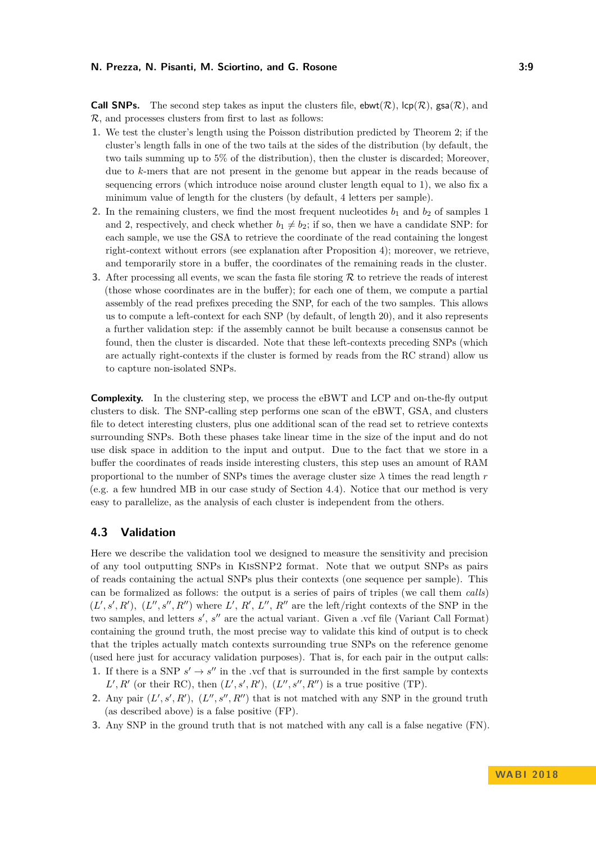**Call SNPs.** The second step takes as input the clusters file,  $ebwt(\mathcal{R})$ ,  $\text{lcp}(\mathcal{R})$ , gsa $(\mathcal{R})$ , and R, and processes clusters from first to last as follows:

- **1.** We test the cluster's length using the Poisson distribution predicted by Theorem [2;](#page-4-0) if the cluster's length falls in one of the two tails at the sides of the distribution (by default, the two tails summing up to 5% of the distribution), then the cluster is discarded; Moreover, due to *k*-mers that are not present in the genome but appear in the reads because of sequencing errors (which introduce noise around cluster length equal to 1), we also fix a minimum value of length for the clusters (by default, 4 letters per sample).
- **2.** In the remaining clusters, we find the most frequent nucleotides  $b_1$  and  $b_2$  of samples 1 and 2, respectively, and check whether  $b_1 \neq b_2$ ; if so, then we have a candidate SNP: for each sample, we use the GSA to retrieve the coordinate of the read containing the longest right-context without errors (see explanation after Proposition [4\)](#page-5-1); moreover, we retrieve, and temporarily store in a buffer, the coordinates of the remaining reads in the cluster.
- **3.** After processing all events, we scan the fasta file storing  $R$  to retrieve the reads of interest (those whose coordinates are in the buffer); for each one of them, we compute a partial assembly of the read prefixes preceding the SNP, for each of the two samples. This allows us to compute a left-context for each SNP (by default, of length 20), and it also represents a further validation step: if the assembly cannot be built because a consensus cannot be found, then the cluster is discarded. Note that these left-contexts preceding SNPs (which are actually right-contexts if the cluster is formed by reads from the RC strand) allow us to capture non-isolated SNPs.

**Complexity.** In the clustering step, we process the eBWT and LCP and on-the-fly output clusters to disk. The SNP-calling step performs one scan of the eBWT, GSA, and clusters file to detect interesting clusters, plus one additional scan of the read set to retrieve contexts surrounding SNPs. Both these phases take linear time in the size of the input and do not use disk space in addition to the input and output. Due to the fact that we store in a buffer the coordinates of reads inside interesting clusters, this step uses an amount of RAM proportional to the number of SNPs times the average cluster size  $\lambda$  times the read length  $r$ (e.g. a few hundred MB in our case study of Section [4.4\)](#page-9-0). Notice that our method is very easy to parallelize, as the analysis of each cluster is independent from the others.

## **4.3 Validation**

Here we describe the validation tool we designed to measure the sensitivity and precision of any tool outputting SNPs in KisSNP2 format. Note that we output SNPs as pairs of reads containing the actual SNPs plus their contexts (one sequence per sample). This can be formalized as follows: the output is a series of pairs of triples (we call them *calls*)  $(L', s', R')$ ,  $(L'', s'', R'')$  where *L'*, *R'*, *L''*, *R''* are the left/right contexts of the SNP in the two samples, and letters  $s'$ ,  $s''$  are the actual variant. Given a .vcf file (Variant Call Format) containing the ground truth, the most precise way to validate this kind of output is to check that the triples actually match contexts surrounding true SNPs on the reference genome (used here just for accuracy validation purposes). That is, for each pair in the output calls: **1.** If there is a SNP  $s' \rightarrow s''$  in the .vcf that is surrounded in the first sample by contexts

- $L', R'$  (or their RC), then  $(L', s', R')$ ,  $(L'', s'', R'')$  is a true positive (TP).
- **2.** Any pair  $(L', s', R')$ ,  $(L'', s'', R'')$  that is not matched with any SNP in the ground truth (as described above) is a false positive (FP).
- **3.** Any SNP in the ground truth that is not matched with any call is a false negative (FN).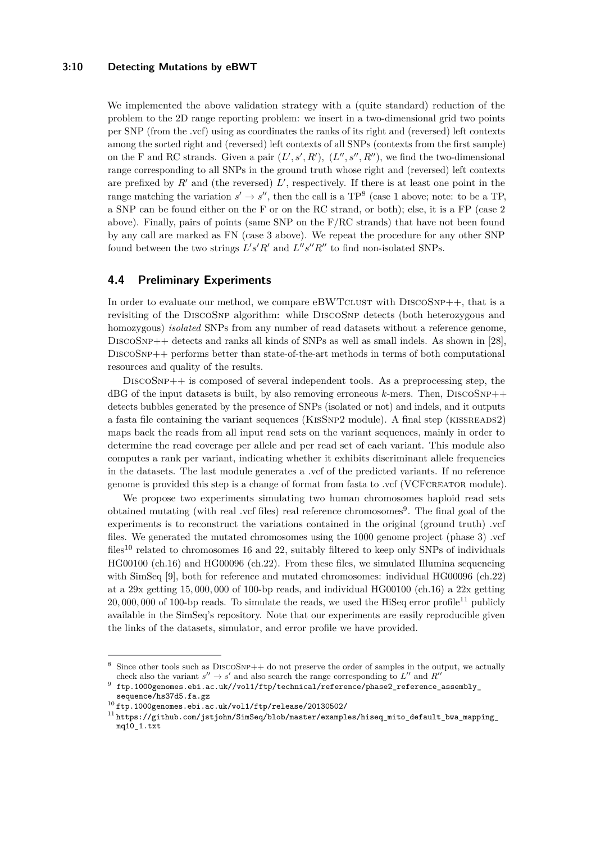## **3:10 Detecting Mutations by eBWT**

We implemented the above validation strategy with a (quite standard) reduction of the problem to the 2D range reporting problem: we insert in a two-dimensional grid two points per SNP (from the .vcf) using as coordinates the ranks of its right and (reversed) left contexts among the sorted right and (reversed) left contexts of all SNPs (contexts from the first sample) on the F and RC strands. Given a pair  $(L', s', R')$ ,  $(L'', s'', R'')$ , we find the two-dimensional range corresponding to all SNPs in the ground truth whose right and (reversed) left contexts are prefixed by  $R'$  and (the reversed)  $L'$ , respectively. If there is at least one point in the range matching the variation  $s' \to s''$ , then the call is a  $TP^8$  $TP^8$  (case 1 above; note: to be a TP, a SNP can be found either on the F or on the RC strand, or both); else, it is a FP (case 2 above). Finally, pairs of points (same SNP on the F/RC strands) that have not been found by any call are marked as FN (case 3 above). We repeat the procedure for any other SNP found between the two strings  $L's'R'$  and  $L''s''R''$  to find non-isolated SNPs.

## <span id="page-9-0"></span>**4.4 Preliminary Experiments**

In order to evaluate our method, we compare  $\text{eBWTCLUST}$  with  $\text{DISCOSNP++}$ , that is a revisiting of the DISCOSNP algorithm: while DISCOSNP detects (both heterozygous and homozygous) *isolated* SNPs from any number of read datasets without a reference genome, DiscoSnp++ detects and ranks all kinds of SNPs as well as small indels. As shown in [\[28\]](#page-13-14), DiscoSnp++ performs better than state-of-the-art methods in terms of both computational resources and quality of the results.

DISCOSNP++ is composed of several independent tools. As a preprocessing step, the  $\text{dBG}$  of the input datasets is built, by also removing erroneous *k*-mers. Then, DISCOSNP++ detects bubbles generated by the presence of SNPs (isolated or not) and indels, and it outputs a fasta file containing the variant sequences (KisSnp2 module). A final step (kissreads2) maps back the reads from all input read sets on the variant sequences, mainly in order to determine the read coverage per allele and per read set of each variant. This module also computes a rank per variant, indicating whether it exhibits discriminant allele frequencies in the datasets. The last module generates a .vcf of the predicted variants. If no reference genome is provided this step is a change of format from fasta to .vcf (VCFcreator module).

We propose two experiments simulating two human chromosomes haploid read sets obtained mutating (with real .vcf files) real reference chromosomes<sup>[9](#page-9-2)</sup>. The final goal of the experiments is to reconstruct the variations contained in the original (ground truth) .vcf files. We generated the mutated chromosomes using the 1000 genome project (phase 3) .vcf files<sup>[10](#page-9-3)</sup> related to chromosomes 16 and 22, suitably filtered to keep only SNPs of individuals HG00100 (ch.16) and HG00096 (ch.22). From these files, we simulated Illumina sequencing with SimSeq [\[9\]](#page-12-10), both for reference and mutated chromosomes: individual HG00096 (ch.22) at a 29x getting 15*,* 000*,* 000 of 100-bp reads, and individual HG00100 (ch.16) a 22x getting  $20,000,000$  of 100-bp reads. To simulate the reads, we used the HiSeq error profile<sup>[11](#page-9-4)</sup> publicly available in the SimSeq's repository. Note that our experiments are easily reproducible given the links of the datasets, simulator, and error profile we have provided.

<span id="page-9-1"></span><sup>&</sup>lt;sup>8</sup> Since other tools such as DISCOSNP++ do not preserve the order of samples in the output, we actually check also the variant  $s'' \to s'$  and also search the range corresponding to  $L''$  and  $R''$ 

<span id="page-9-2"></span><sup>9</sup>  $\verb|ftp.1000genomes.ebi.ac.uk//vol1/ftp/technical/reference/phase2_reference_assembly_$  $\verb|ftp.1000genomes.ebi.ac.uk//vol1/ftp/technical/reference/phase2_reference_assembly_$ 

[sequence/hs37d5.fa.gz](ftp.1000genomes.ebi.ac.uk//vol1/ftp/technical/reference/phase2_reference_assembly_sequence/hs37d5.fa.gz)

<span id="page-9-3"></span><sup>10</sup> <ftp.1000genomes.ebi.ac.uk/vol1/ftp/release/20130502/>

<span id="page-9-4"></span><sup>&</sup>lt;sup>11</sup> [https://github.com/jstjohn/SimSeq/blob/master/examples/hiseq\\_mito\\_default\\_bwa\\_mapping\\_](https://github.com/jstjohn/SimSeq/blob/master/examples/hiseq_mito_default_bwa_mapping_mq10_1.txt) [mq10\\_1.txt](https://github.com/jstjohn/SimSeq/blob/master/examples/hiseq_mito_default_bwa_mapping_mq10_1.txt)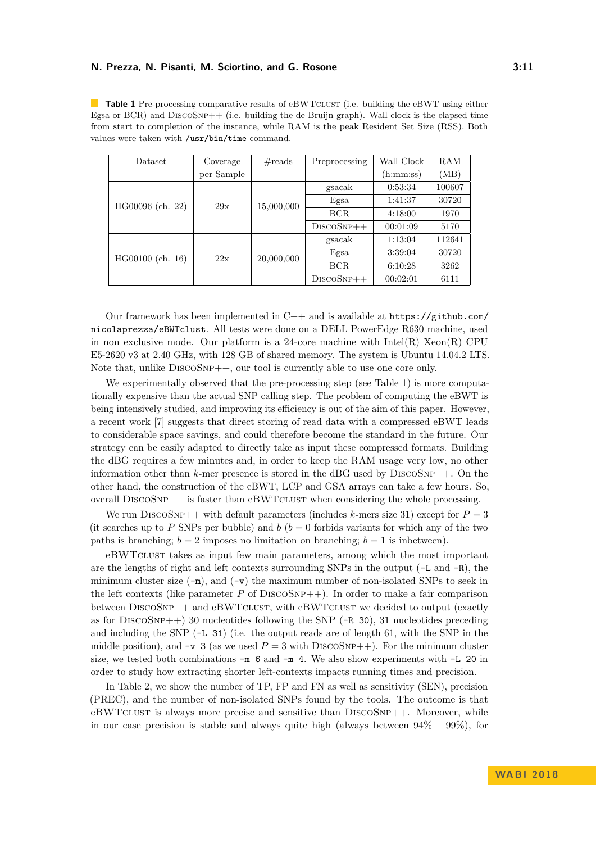<span id="page-10-0"></span>**Table 1** Pre-processing comparative results of eBWTCLUST (i.e. building the eBWT using either Egsa or BCR) and  $DISCOSNP++$  (i.e. building the de Bruijn graph). Wall clock is the elapsed time from start to completion of the instance, while RAM is the peak Resident Set Size (RSS). Both values were taken with /usr/bin/time command.

| <b>Dataset</b>   | Coverage   | $\#\text{reads}$ | Preprocessing | Wall Clock | RAM    |
|------------------|------------|------------------|---------------|------------|--------|
|                  | per Sample |                  |               | (h:mm:ss)  | (MB)   |
|                  | 29x        | 15,000,000       | gsacak        | 0:53:34    | 100607 |
| HG00096 (ch. 22) |            |                  | Egsa          | 1:41:37    | 30720  |
|                  |            |                  | <b>BCR</b>    | 4:18:00    | 1970   |
|                  |            |                  | $DiscOSNP++$  | 00:01:09   | 5170   |
|                  | 22x        | 20,000,000       | gsacak        | 1:13:04    | 112641 |
| HG00100 (ch. 16) |            |                  | Egsa          | 3:39:04    | 30720  |
|                  |            |                  | <b>BCR</b>    | 6:10:28    | 3262   |
|                  |            |                  | $DISCOSNP++$  | 00:02:01   | 6111   |

Our framework has been implemented in  $C++$  and is available at  $https://github.com/$ [nicolaprezza/eBWTclust](https://github.com/nicolaprezza/eBWTclust). All tests were done on a DELL PowerEdge R630 machine, used in non exclusive mode. Our platform is a 24-core machine with  $\text{Intel}(R)$  Xeon $(R)$  CPU E5-2620 v3 at 2*.*40 GHz, with 128 GB of shared memory. The system is Ubuntu 14.04.2 LTS. Note that, unlike  $DISCOSNP++$ , our tool is currently able to use one core only.

We experimentally observed that the pre-processing step (see Table [1\)](#page-10-0) is more computationally expensive than the actual SNP calling step. The problem of computing the eBWT is being intensively studied, and improving its efficiency is out of the aim of this paper. However, a recent work [\[7\]](#page-12-2) suggests that direct storing of read data with a compressed eBWT leads to considerable space savings, and could therefore become the standard in the future. Our strategy can be easily adapted to directly take as input these compressed formats. Building the dBG requires a few minutes and, in order to keep the RAM usage very low, no other information other than  $k$ -mer presence is stored in the dBG used by  $DiscoSNP++$ . On the other hand, the construction of the eBWT, LCP and GSA arrays can take a few hours. So, overall DiscoSnp++ is faster than eBWTclust when considering the whole processing.

We run DISCOSNP++ with default parameters (includes  $k$ -mers size 31) except for  $P = 3$ (it searches up to P SNPs per bubble) and  $b$  ( $b = 0$  forbids variants for which any of the two paths is branching;  $b = 2$  imposes no limitation on branching;  $b = 1$  is inbetween).

eBWTclust takes as input few main parameters, among which the most important are the lengths of right and left contexts surrounding SNPs in the output  $(-L \text{ and } -R)$ , the minimum cluster size  $(-m)$ , and  $(-v)$  the maximum number of non-isolated SNPs to seek in the left contexts (like parameter  $P$  of DISCOSNP $++$ ). In order to make a fair comparison between DISCOSNP++ and eBWTCLUST, with eBWTCLUST we decided to output (exactly as for DISCOSNP++) 30 nucleotides following the SNP  $(-R \ 30)$ , 31 nucleotides preceding and including the SNP (-L 31) (i.e. the output reads are of length 61, with the SNP in the middle position), and  $-v$  3 (as we used  $P = 3$  with DISCOSNP++). For the minimum cluster size, we tested both combinations  $-m$  6 and  $-m$  4. We also show experiments with  $-L$  20 in order to study how extracting shorter left-contexts impacts running times and precision.

In Table [2,](#page-11-0) we show the number of TP, FP and FN as well as sensitivity (SEN), precision (PREC), and the number of non-isolated SNPs found by the tools. The outcome is that eBWTCLUST is always more precise and sensitive than  $DISCOSNP++$ . Moreover, while in our case precision is stable and always quite high (always between  $94\% - 99\%$ ), for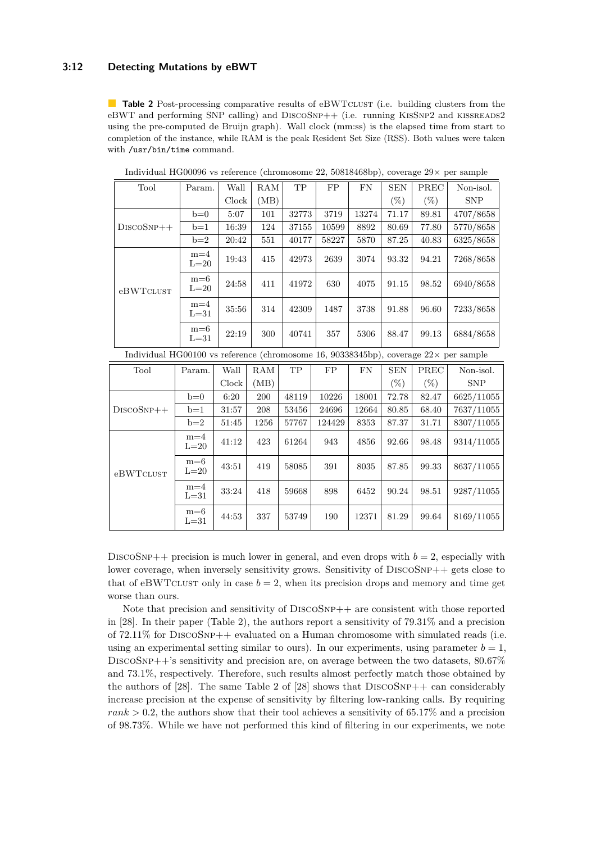## **3:12 Detecting Mutations by eBWT**

eBWTCLUST

 $m=4$ 

 $m=6$ <br>L=31

<span id="page-11-0"></span>**Table 2** Post-processing comparative results of eBWTCLUST (i.e. building clusters from the eBWT and performing SNP calling) and DISCOSNP++ (i.e. running KISSNP2 and KISSREADS2 using the pre-computed de Bruijn graph). Wall clock (mm:ss) is the elapsed time from start to completion of the instance, while RAM is the peak Resident Set Size (RSS). Both values were taken with /usr/bin/time command.

|                                                                                              | Tool         | Param.            | Wall          | RAM  | $\mbox{TP}$ | ${\rm FP}$ | ${\rm FN}$ | <b>SEN</b> | PREC   | Non-isol.  |
|----------------------------------------------------------------------------------------------|--------------|-------------------|---------------|------|-------------|------------|------------|------------|--------|------------|
|                                                                                              |              |                   | ${\rm Clock}$ | (MB) |             |            |            | $(\%)$     | $(\%)$ | <b>SNP</b> |
|                                                                                              |              | $b=0$             | 5:07          | 101  | 32773       | 3719       | 13274      | 71.17      | 89.81  | 4707/8658  |
|                                                                                              | $DISCOSNP++$ | $b=1$             | 16:39         | 124  | 37155       | 10599      | 8892       | 80.69      | 77.80  | 5770/8658  |
|                                                                                              |              | $b=2$             | 20:42         | 551  | 40177       | 58227      | 5870       | 87.25      | 40.83  | 6325/8658  |
|                                                                                              |              | $m=4$<br>$L=20$   | 19:43         | 415  | 42973       | 2639       | 3074       | 93.32      | 94.21  | 7268/8658  |
|                                                                                              | eBWTCLUST    | $m=6$<br>$L=20$   | 24:58         | 411  | 41972       | 630        | 4075       | 91.15      | 98.52  | 6940/8658  |
|                                                                                              |              | $m=4$<br>$L=31$   | 35:56         | 314  | 42309       | 1487       | 3738       | 91.88      | 96.60  | 7233/8658  |
|                                                                                              |              | $m=6$<br>$L = 31$ | 22:19         | 300  | 40741       | 357        | 5306       | 88.47      | 99.13  | 6884/8658  |
| Individual HG00100 vs reference (chromosome 16, 90338345bp), coverage $22 \times$ per sample |              |                   |               |      |             |            |            |            |        |            |
|                                                                                              | Tool         | Param.            | Wall          | RAM  | TP          | ${\rm FP}$ | ${\rm FN}$ | <b>SEN</b> | PREC   | Non-isol.  |
|                                                                                              |              |                   | Clock         | (MB) |             |            |            | $(\%)$     | $(\%)$ | <b>SNP</b> |
|                                                                                              | $DISCOSNP++$ | $b=0$             | 6:20          | 200  | 48119       | 10226      | 18001      | 72.78      | 82.47  | 6625/11055 |
|                                                                                              |              | $b=1$             | 31:57         | 208  | 53456       | 24696      | 12664      | 80.85      | 68.40  | 7637/11055 |
|                                                                                              |              | $b=2$             | 51:45         | 1256 | 57767       | 124429     | 8353       | 87.37      | 31.71  | 8307/11055 |
|                                                                                              |              | $m = 4$<br>$L=20$ | 41:12         | 423  | 61264       | 943        | 4856       | 92.66      | 98.48  | 9314/11055 |
|                                                                                              | eBWTCLUST    | $m=6$<br>$L=20$   | 43:51         | 419  | 58085       | 391        | 8035       | 87.85      | 99.33  | 8637/11055 |

Individual HG00096 vs reference (chromosome 22, 50818468bp), coverage 29× per sample

DISCOSNP<sup>++</sup> precision is much lower in general, and even drops with  $b = 2$ , especially with lower coverage, when inversely sensitivity grows. Sensitivity of DISCOSNP++ gets close to that of eBWTCLUST only in case  $b = 2$ , when its precision drops and memory and time get worse than ours.

 $\begin{array}{|c|c|c|c|c|c|c|c|} \hline \text{m=4} & 33:24 & 418 & 59668 & 898 & 6452 & 90.24 & 98.51 & 9287/11055 \ \hline \end{array}$ 

 $\begin{array}{|c|c|c|c|c|c|c|c|} \hline \text{m=0} & 44:53 & 337 & 53749 & 190 & 12371 & 81.29 & 99.64 & 8169/11055 \ \hline \end{array}$ 

Note that precision and sensitivity of DISCOSNP++ are consistent with those reported in [\[28\]](#page-13-14). In their paper (Table 2), the authors report a sensitivity of 79*.*31% and a precision of 72*.*11% for DiscoSnp++ evaluated on a Human chromosome with simulated reads (i.e. using an experimental setting similar to ours). In our experiments, using parameter  $b = 1$ , DiscoSnp++'s sensitivity and precision are, on average between the two datasets, 80*.*67% and 73*.*1%, respectively. Therefore, such results almost perfectly match those obtained by the authors of [\[28\]](#page-13-14). The same Table 2 of [28] shows that  $DISCOSNP++$  can considerably increase precision at the expense of sensitivity by filtering low-ranking calls. By requiring *rank >* 0*.*2, the authors show that their tool achieves a sensitivity of 65*.*17% and a precision of 98*.*73%. While we have not performed this kind of filtering in our experiments, we note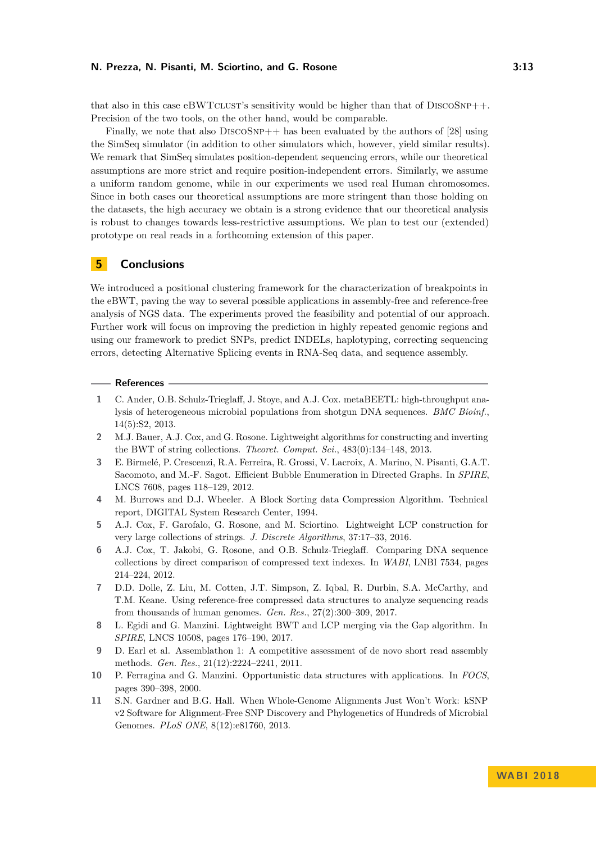that also in this case  $\text{eBWTCLUST's sensitivity}$  would be higher than that of  $\text{DISCOSNP++}.$ Precision of the two tools, on the other hand, would be comparable.

Finally, we note that also  $DISCOSNP++$  has been evaluated by the authors of [\[28\]](#page-13-14) using the SimSeq simulator (in addition to other simulators which, however, yield similar results). We remark that SimSeq simulates position-dependent sequencing errors, while our theoretical assumptions are more strict and require position-independent errors. Similarly, we assume a uniform random genome, while in our experiments we used real Human chromosomes. Since in both cases our theoretical assumptions are more stringent than those holding on the datasets, the high accuracy we obtain is a strong evidence that our theoretical analysis is robust to changes towards less-restrictive assumptions. We plan to test our (extended) prototype on real reads in a forthcoming extension of this paper.

## **5 Conclusions**

We introduced a positional clustering framework for the characterization of breakpoints in the eBWT, paving the way to several possible applications in assembly-free and reference-free analysis of NGS data. The experiments proved the feasibility and potential of our approach. Further work will focus on improving the prediction in highly repeated genomic regions and using our framework to predict SNPs, predict INDELs, haplotyping, correcting sequencing errors, detecting Alternative Splicing events in RNA-Seq data, and sequence assembly.

#### **References**

- <span id="page-12-5"></span>**1** C. Ander, O.B. Schulz-Trieglaff, J. Stoye, and A.J. Cox. metaBEETL: high-throughput analysis of heterogeneous microbial populations from shotgun DNA sequences. *BMC Bioinf.*, 14(5):S2, 2013.
- <span id="page-12-3"></span>**2** M.J. Bauer, A.J. Cox, and G. Rosone. Lightweight algorithms for constructing and inverting the BWT of string collections. *Theoret. Comput. Sci.*, 483(0):134–148, 2013.
- <span id="page-12-6"></span>**3** E. Birmelé, P. Crescenzi, R.A. Ferreira, R. Grossi, V. Lacroix, A. Marino, N. Pisanti, G.A.T. Sacomoto, and M.-F. Sagot. Efficient Bubble Enumeration in Directed Graphs. In *SPIRE*, LNCS 7608, pages 118–129, 2012.
- <span id="page-12-1"></span>**4** M. Burrows and D.J. Wheeler. A Block Sorting data Compression Algorithm. Technical report, DIGITAL System Research Center, 1994.
- <span id="page-12-8"></span>**5** A.J. Cox, F. Garofalo, G. Rosone, and M. Sciortino. Lightweight LCP construction for very large collections of strings. *J. Discrete Algorithms*, 37:17–33, 2016.
- <span id="page-12-4"></span>**6** A.J. Cox, T. Jakobi, G. Rosone, and O.B. Schulz-Trieglaff. Comparing DNA sequence collections by direct comparison of compressed text indexes. In *WABI*, LNBI 7534, pages 214–224, 2012.
- <span id="page-12-2"></span>**7** D.D. Dolle, Z. Liu, M. Cotten, J.T. Simpson, Z. Iqbal, R. Durbin, S.A. McCarthy, and T.M. Keane. Using reference-free compressed data structures to analyze sequencing reads from thousands of human genomes. *Gen. Res.*, 27(2):300–309, 2017.
- <span id="page-12-9"></span>**8** L. Egidi and G. Manzini. Lightweight BWT and LCP merging via the Gap algorithm. In *SPIRE*, LNCS 10508, pages 176–190, 2017.
- <span id="page-12-10"></span>**9** D. Earl et al. Assemblathon 1: A competitive assessment of de novo short read assembly methods. *Gen. Res.*, 21(12):2224–2241, 2011.
- <span id="page-12-0"></span>**10** P. Ferragina and G. Manzini. Opportunistic data structures with applications. In *FOCS*, pages 390–398, 2000.
- <span id="page-12-7"></span>**11** S.N. Gardner and B.G. Hall. When Whole-Genome Alignments Just Won't Work: kSNP v2 Software for Alignment-Free SNP Discovery and Phylogenetics of Hundreds of Microbial Genomes. *PLoS ONE*, 8(12):e81760, 2013.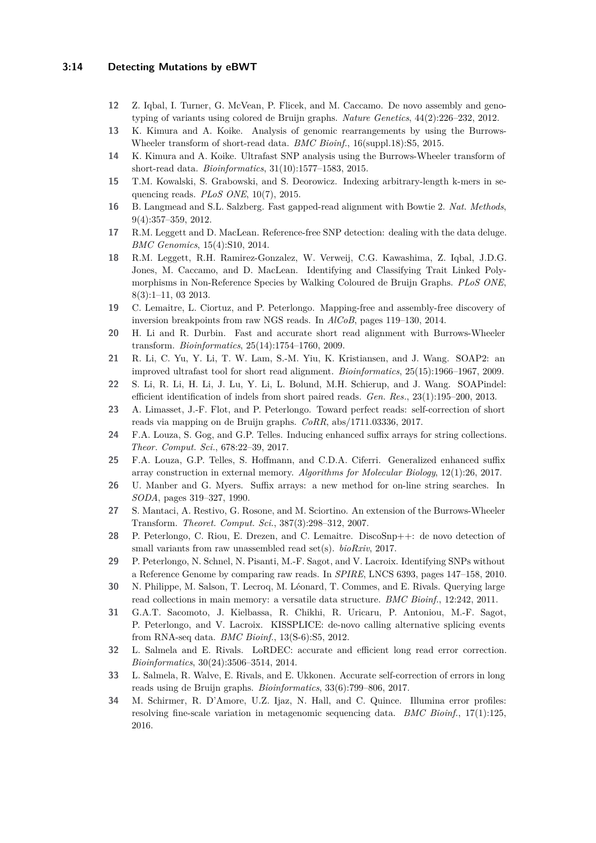## **3:14 Detecting Mutations by eBWT**

- <span id="page-13-8"></span>**12** Z. Iqbal, I. Turner, G. McVean, P. Flicek, and M. Caccamo. De novo assembly and genotyping of variants using colored de Bruijn graphs. *Nature Genetics*, 44(2):226–232, 2012.
- <span id="page-13-3"></span>**13** K. Kimura and A. Koike. Analysis of genomic rearrangements by using the Burrows-Wheeler transform of short-read data. *BMC Bioinf.*, 16(suppl.18):S5, 2015.
- <span id="page-13-4"></span>**14** K. Kimura and A. Koike. Ultrafast SNP analysis using the Burrows-Wheeler transform of short-read data. *Bioinformatics*, 31(10):1577–1583, 2015.
- <span id="page-13-11"></span>**15** T.M. Kowalski, S. Grabowski, and S. Deorowicz. Indexing arbitrary-length k-mers in sequencing reads. *PLoS ONE*, 10(7), 2015.
- <span id="page-13-1"></span>**16** B. Langmead and S.L. Salzberg. Fast gapped-read alignment with Bowtie 2. *Nat. Methods*, 9(4):357–359, 2012.
- <span id="page-13-7"></span>**17** R.M. Leggett and D. MacLean. Reference-free SNP detection: dealing with the data deluge. *BMC Genomics*, 15(4):S10, 2014.
- <span id="page-13-13"></span>**18** R.M. Leggett, R.H. Ramirez-Gonzalez, W. Verweij, C.G. Kawashima, Z. Iqbal, J.D.G. Jones, M. Caccamo, and D. MacLean. Identifying and Classifying Trait Linked Polymorphisms in Non-Reference Species by Walking Coloured de Bruijn Graphs. *PLoS ONE*, 8(3):1–11, 03 2013.
- <span id="page-13-12"></span>**19** C. Lemaitre, L. Ciortuz, and P. Peterlongo. Mapping-free and assembly-free discovery of inversion breakpoints from raw NGS reads. In *AlCoB*, pages 119–130, 2014.
- <span id="page-13-0"></span>**20** H. Li and R. Durbin. Fast and accurate short read alignment with Burrows-Wheeler transform. *Bioinformatics*, 25(14):1754–1760, 2009.
- <span id="page-13-2"></span>**21** R. Li, C. Yu, Y. Li, T. W. Lam, S.-M. Yiu, K. Kristiansen, and J. Wang. SOAP2: an improved ultrafast tool for short read alignment. *Bioinformatics*, 25(15):1966–1967, 2009.
- <span id="page-13-15"></span>**22** S. Li, R. Li, H. Li, J. Lu, Y. Li, L. Bolund, M.H. Schierup, and J. Wang. SOAPindel: efficient identification of indels from short paired reads. *Gen. Res.*, 23(1):195–200, 2013.
- <span id="page-13-18"></span>**23** A. Limasset, J.-F. Flot, and P. Peterlongo. Toward perfect reads: self-correction of short reads via mapping on de Bruijn graphs. *CoRR*, abs/1711.03336, 2017.
- <span id="page-13-22"></span>**24** F.A. Louza, S. Gog, and G.P. Telles. Inducing enhanced suffix arrays for string collections. *Theor. Comput. Sci.*, 678:22–39, 2017.
- <span id="page-13-19"></span>**25** F.A. Louza, G.P. Telles, S. Hoffmann, and C.D.A. Ciferri. Generalized enhanced suffix array construction in external memory. *Algorithms for Molecular Biology*, 12(1):26, 2017.
- <span id="page-13-20"></span>**26** U. Manber and G. Myers. Suffix arrays: a new method for on-line string searches. In *SODA*, pages 319–327, 1990.
- <span id="page-13-9"></span>**27** S. Mantaci, A. Restivo, G. Rosone, and M. Sciortino. An extension of the Burrows-Wheeler Transform. *Theoret. Comput. Sci.*, 387(3):298–312, 2007.
- <span id="page-13-14"></span>**28** P. Peterlongo, C. Riou, E. Drezen, and C. Lemaitre. DiscoSnp++: de novo detection of small variants from raw unassembled read set(s). *bioRxiv*, 2017.
- <span id="page-13-5"></span>**29** P. Peterlongo, N. Schnel, N. Pisanti, M.-F. Sagot, and V. Lacroix. Identifying SNPs without a Reference Genome by comparing raw reads. In *SPIRE*, LNCS 6393, pages 147–158, 2010.
- <span id="page-13-10"></span>**30** N. Philippe, M. Salson, T. Lecroq, M. Léonard, T. Commes, and E. Rivals. Querying large read collections in main memory: a versatile data structure. *BMC Bioinf.*, 12:242, 2011.
- <span id="page-13-6"></span>**31** G.A.T. Sacomoto, J. Kielbassa, R. Chikhi, R. Uricaru, P. Antoniou, M.-F. Sagot, P. Peterlongo, and V. Lacroix. KISSPLICE: de-novo calling alternative splicing events from RNA-seq data. *BMC Bioinf.*, 13(S-6):S5, 2012.
- <span id="page-13-16"></span>**32** L. Salmela and E. Rivals. LoRDEC: accurate and efficient long read error correction. *Bioinformatics*, 30(24):3506–3514, 2014.
- <span id="page-13-17"></span>**33** L. Salmela, R. Walve, E. Rivals, and E. Ukkonen. Accurate self-correction of errors in long reads using de Bruijn graphs. *Bioinformatics*, 33(6):799–806, 2017.
- <span id="page-13-21"></span>**34** M. Schirmer, R. D'Amore, U.Z. Ijaz, N. Hall, and C. Quince. Illumina error profiles: resolving fine-scale variation in metagenomic sequencing data. *BMC Bioinf.*, 17(1):125, 2016.